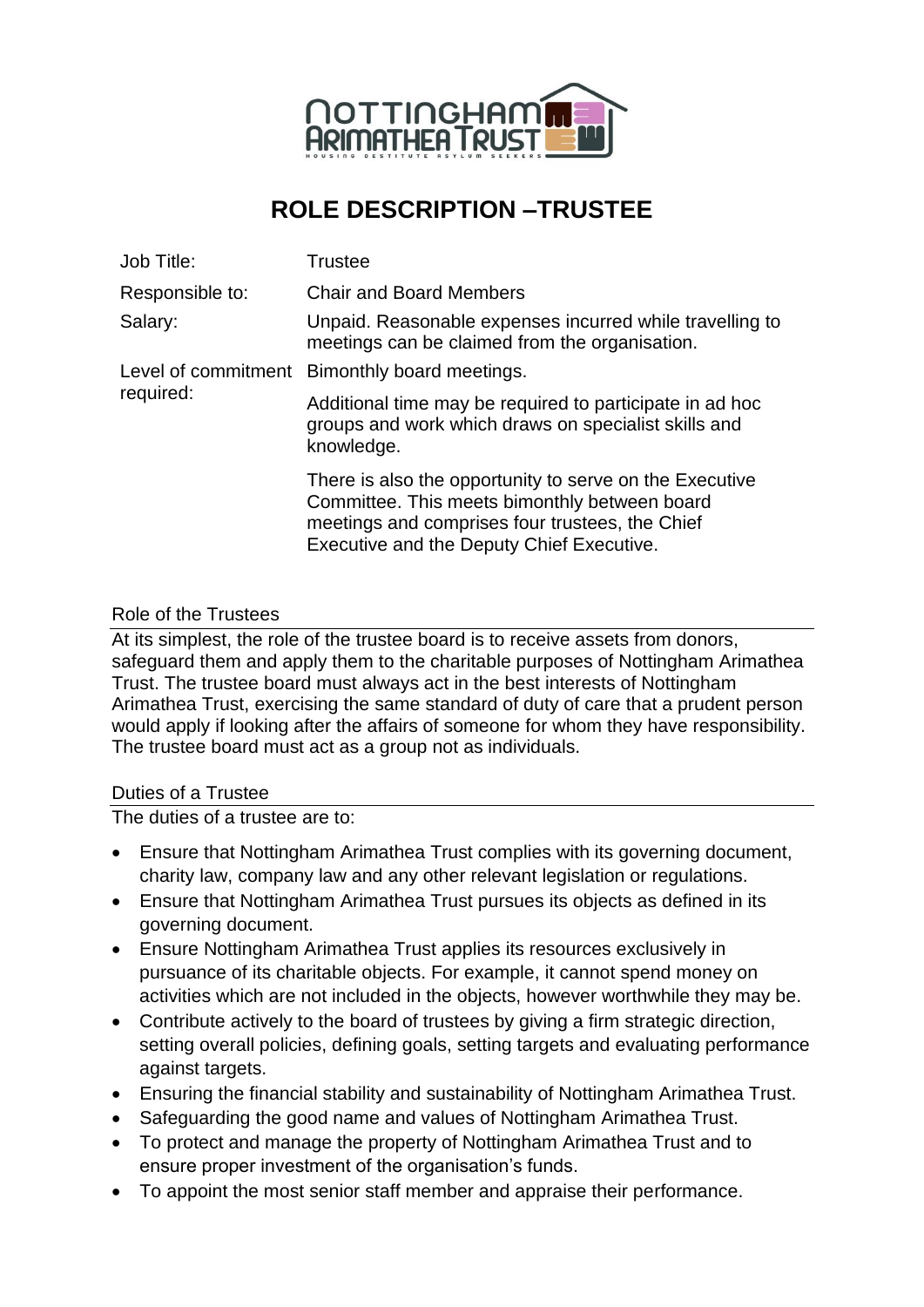

# **ROLE DESCRIPTION –TRUSTEE**

| Job Title:      | Trustee                                                                                                                                                                                                  |
|-----------------|----------------------------------------------------------------------------------------------------------------------------------------------------------------------------------------------------------|
| Responsible to: | <b>Chair and Board Members</b>                                                                                                                                                                           |
| Salary:         | Unpaid. Reasonable expenses incurred while travelling to<br>meetings can be claimed from the organisation.                                                                                               |
| required:       | Level of commitment Bimonthly board meetings.                                                                                                                                                            |
|                 | Additional time may be required to participate in ad hoc<br>groups and work which draws on specialist skills and<br>knowledge.                                                                           |
|                 | There is also the opportunity to serve on the Executive<br>Committee. This meets bimonthly between board<br>meetings and comprises four trustees, the Chief<br>Executive and the Deputy Chief Executive. |

# Role of the Trustees

At its simplest, the role of the trustee board is to receive assets from donors, safeguard them and apply them to the charitable purposes of Nottingham Arimathea Trust. The trustee board must always act in the best interests of Nottingham Arimathea Trust, exercising the same standard of duty of care that a prudent person would apply if looking after the affairs of someone for whom they have responsibility. The trustee board must act as a group not as individuals.

### Duties of a Trustee

The duties of a trustee are to:

- Ensure that Nottingham Arimathea Trust complies with its governing document, charity law, company law and any other relevant legislation or regulations.
- Ensure that Nottingham Arimathea Trust pursues its objects as defined in its governing document.
- Ensure Nottingham Arimathea Trust applies its resources exclusively in pursuance of its charitable objects. For example, it cannot spend money on activities which are not included in the objects, however worthwhile they may be.
- Contribute actively to the board of trustees by giving a firm strategic direction, setting overall policies, defining goals, setting targets and evaluating performance against targets.
- Ensuring the financial stability and sustainability of Nottingham Arimathea Trust.
- Safeguarding the good name and values of Nottingham Arimathea Trust.
- To protect and manage the property of Nottingham Arimathea Trust and to ensure proper investment of the organisation's funds.
- To appoint the most senior staff member and appraise their performance.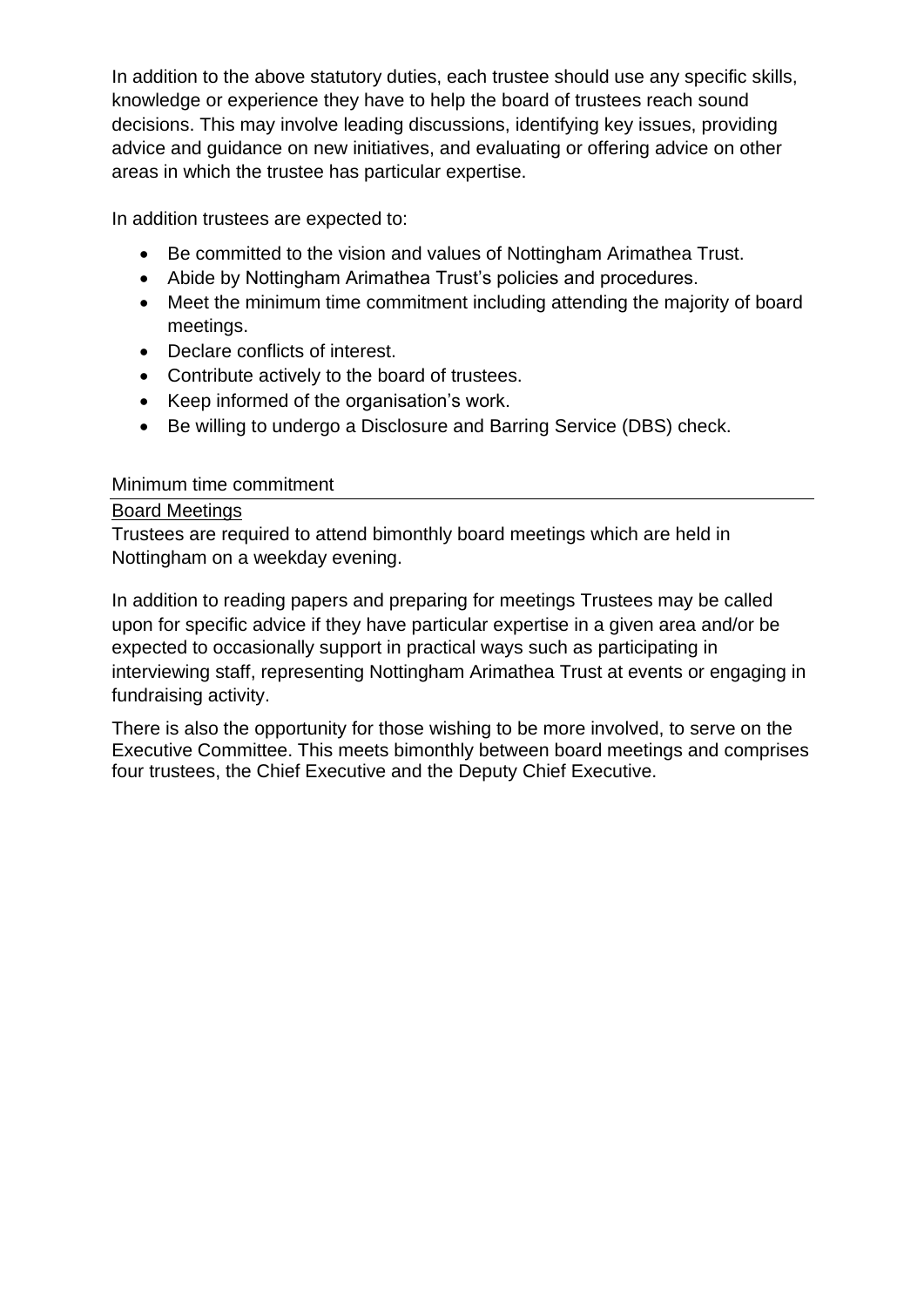In addition to the above statutory duties, each trustee should use any specific skills, knowledge or experience they have to help the board of trustees reach sound decisions. This may involve leading discussions, identifying key issues, providing advice and guidance on new initiatives, and evaluating or offering advice on other areas in which the trustee has particular expertise.

In addition trustees are expected to:

- Be committed to the vision and values of Nottingham Arimathea Trust.
- Abide by Nottingham Arimathea Trust's policies and procedures.
- Meet the minimum time commitment including attending the majority of board meetings.
- Declare conflicts of interest.
- Contribute actively to the board of trustees.
- Keep informed of the organisation's work.
- Be willing to undergo a Disclosure and Barring Service (DBS) check.

#### Minimum time commitment

#### Board Meetings

Trustees are required to attend bimonthly board meetings which are held in Nottingham on a weekday evening.

In addition to reading papers and preparing for meetings Trustees may be called upon for specific advice if they have particular expertise in a given area and/or be expected to occasionally support in practical ways such as participating in interviewing staff, representing Nottingham Arimathea Trust at events or engaging in fundraising activity.

There is also the opportunity for those wishing to be more involved, to serve on the Executive Committee. This meets bimonthly between board meetings and comprises four trustees, the Chief Executive and the Deputy Chief Executive.